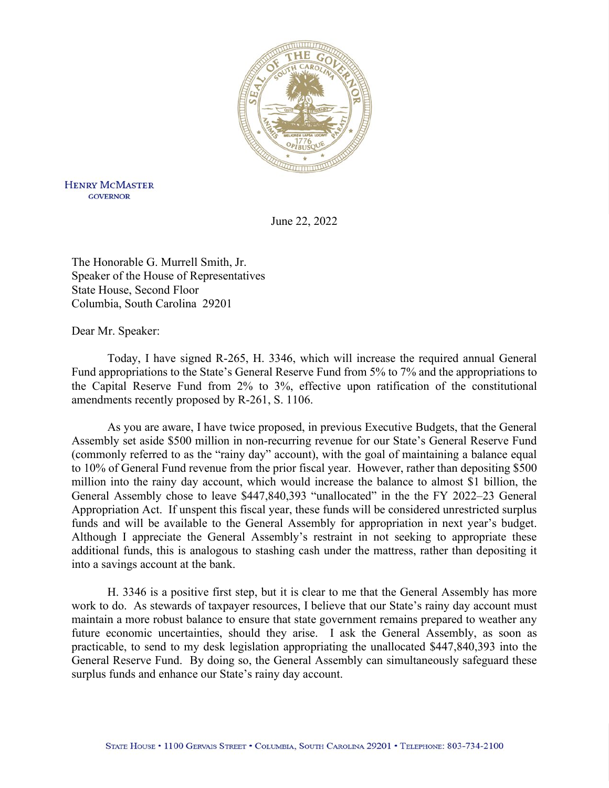

**HENRY MCMASTER GOVERNOR** 

June 22, 2022

The Honorable G. Murrell Smith, Jr. Speaker of the House of Representatives State House, Second Floor Columbia, South Carolina 29201

Dear Mr. Speaker:

Today, I have signed R-265, H. 3346, which will increase the required annual General Fund appropriations to the State's General Reserve Fund from 5% to 7% and the appropriations to the Capital Reserve Fund from 2% to 3%, effective upon ratification of the constitutional amendments recently proposed by R-261, S. 1106.

As you are aware, I have twice proposed, in previous Executive Budgets, that the General Assembly set aside \$500 million in non-recurring revenue for our State's General Reserve Fund (commonly referred to as the "rainy day" account), with the goal of maintaining a balance equal to 10% of General Fund revenue from the prior fiscal year. However, rather than depositing \$500 million into the rainy day account, which would increase the balance to almost \$1 billion, the General Assembly chose to leave \$447,840,393 "unallocated" in the the FY 2022–23 General Appropriation Act. If unspent this fiscal year, these funds will be considered unrestricted surplus funds and will be available to the General Assembly for appropriation in next year's budget. Although I appreciate the General Assembly's restraint in not seeking to appropriate these additional funds, this is analogous to stashing cash under the mattress, rather than depositing it into a savings account at the bank.

H. 3346 is a positive first step, but it is clear to me that the General Assembly has more work to do. As stewards of taxpayer resources, I believe that our State's rainy day account must maintain a more robust balance to ensure that state government remains prepared to weather any future economic uncertainties, should they arise. I ask the General Assembly, as soon as practicable, to send to my desk legislation appropriating the unallocated \$447,840,393 into the General Reserve Fund. By doing so, the General Assembly can simultaneously safeguard these surplus funds and enhance our State's rainy day account.